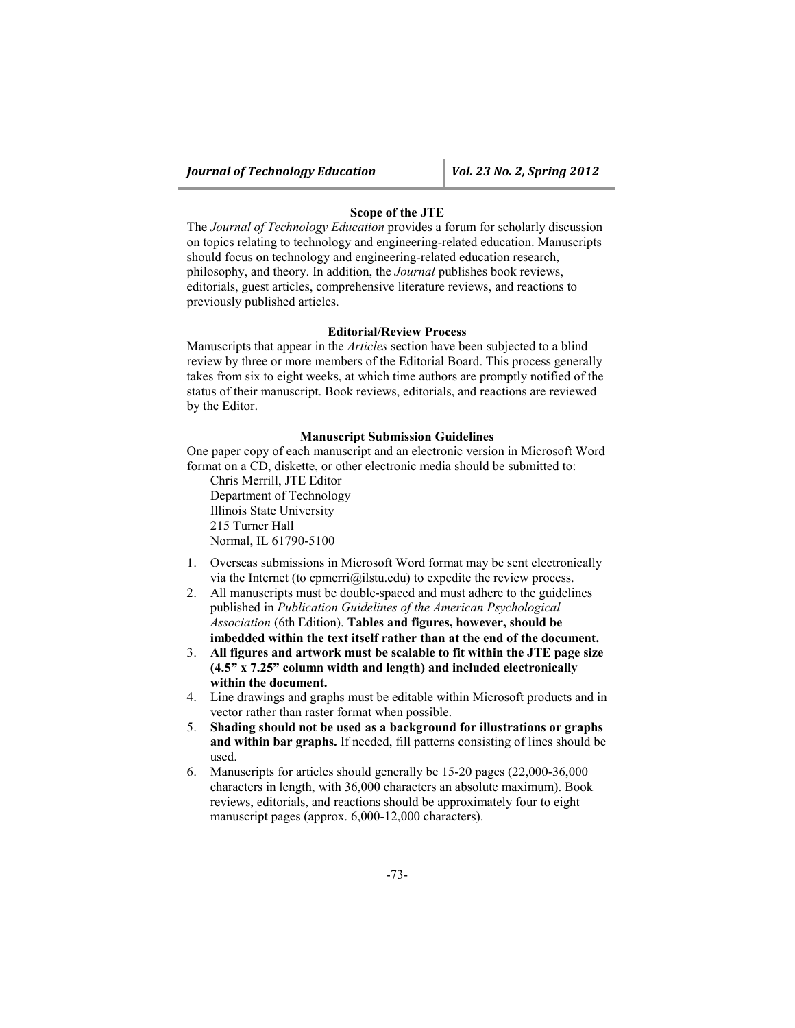#### **Scope of the JTE**

The *Journal of Technology Education* provides a forum for scholarly discussion on topics relating to technology and engineering-related education. Manuscripts should focus on technology and engineering-related education research, philosophy, and theory. In addition, the *Journal* publishes book reviews, editorials, guest articles, comprehensive literature reviews, and reactions to previously published articles.

## **Editorial/Review Process**

Manuscripts that appear in the *Articles* section have been subjected to a blind review by three or more members of the Editorial Board. This process generally takes from six to eight weeks, at which time authors are promptly notified of the status of their manuscript. Book reviews, editorials, and reactions are reviewed by the Editor.

## **Manuscript Submission Guidelines**

One paper copy of each manuscript and an electronic version in Microsoft Word format on a CD, diskette, or other electronic media should be submitted to:

Chris Merrill, JTE Editor Department of Technology Illinois State University 215 Turner Hall Normal, IL 61790-5100

- 1. Overseas submissions in Microsoft Word format may be sent electronically via the Internet (to cpmerri@ilstu.edu) to expedite the review process.
- 2. All manuscripts must be double-spaced and must adhere to the guidelines published in *Publication Guidelines of the American Psychological Association* (6th Edition). **Tables and figures, however, should be imbedded within the text itself rather than at the end of the document.**
- 3. **All figures and artwork must be scalable to fit within the JTE page size (4.5" x 7.25" column width and length) and included electronically within the document.**
- 4. Line drawings and graphs must be editable within Microsoft products and in vector rather than raster format when possible.
- 5. **Shading should not be used as a background for illustrations or graphs and within bar graphs.** If needed, fill patterns consisting of lines should be used.
- 6. Manuscripts for articles should generally be 15-20 pages (22,000-36,000 characters in length, with 36,000 characters an absolute maximum). Book reviews, editorials, and reactions should be approximately four to eight manuscript pages (approx. 6,000-12,000 characters).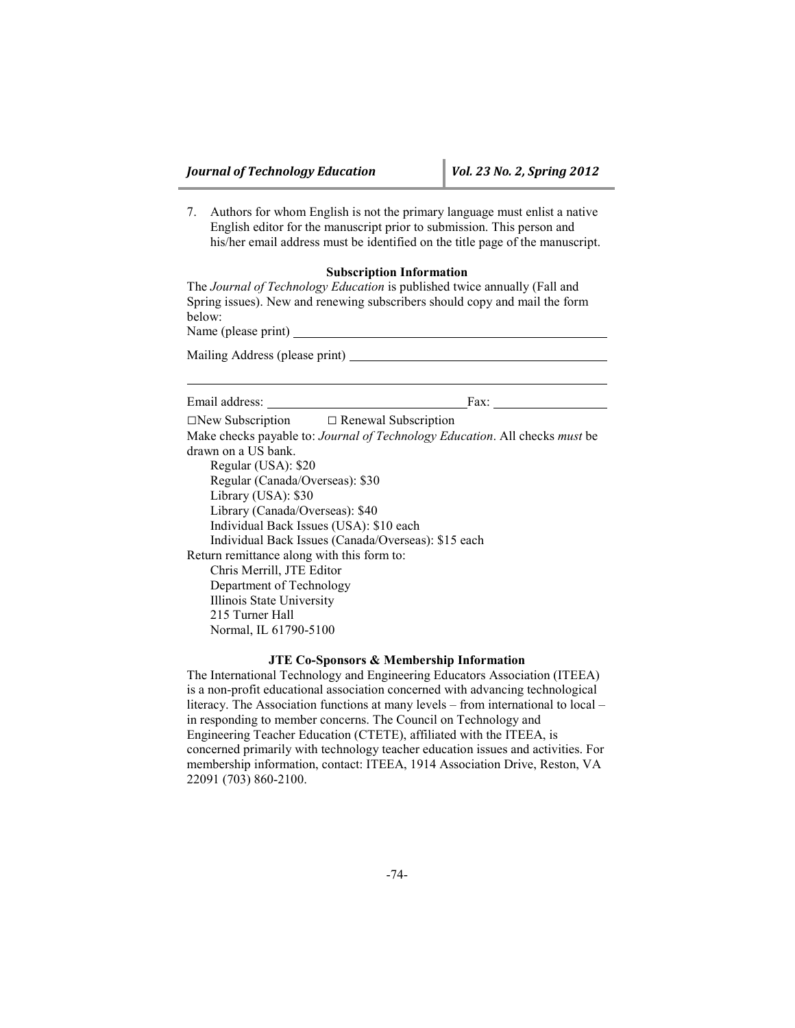7. Authors for whom English is not the primary language must enlist a native English editor for the manuscript prior to submission. This person and his/her email address must be identified on the title page of the manuscript.

## **Subscription Information**

The *Journal of Technology Education* is published twice annually (Fall and Spring issues). New and renewing subscribers should copy and mail the form below: Name (please print)

Mailing Address (please print)

Email address: Fax:  $\square$ New Subscription  $\square$  Renewal Subscription Make checks payable to: *Journal of Technology Education*. All checks *must* be drawn on a US bank. Regular (USA): \$20 Regular (Canada/Overseas): \$30 Library (USA): \$30 Library (Canada/Overseas): \$40 Individual Back Issues (USA): \$10 each Individual Back Issues (Canada/Overseas): \$15 each Return remittance along with this form to: Chris Merrill, JTE Editor Department of Technology Illinois State University 215 Turner Hall Normal, IL 61790-5100

## **JTE Co-Sponsors & Membership Information**

The International Technology and Engineering Educators Association (ITEEA) is a non-profit educational association concerned with advancing technological literacy. The Association functions at many levels – from international to local – in responding to member concerns. The Council on Technology and Engineering Teacher Education (CTETE), affiliated with the ITEEA, is concerned primarily with technology teacher education issues and activities. For membership information, contact: ITEEA, 1914 Association Drive, Reston, VA 22091 (703) 860-2100.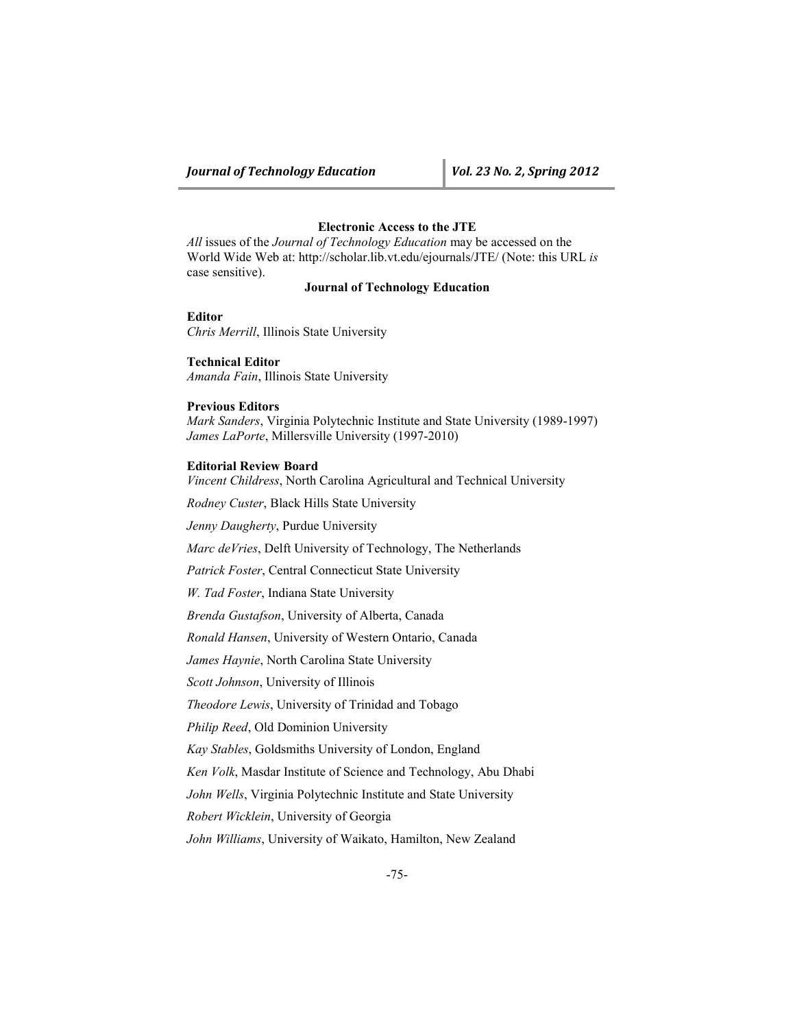# **Electronic Access to the JTE**

*All* issues of the *Journal of Technology Education* may be accessed on the World Wide Web at: http://scholar.lib.vt.edu/ejournals/JTE/ (Note: this URL *is* case sensitive).

## **Journal of Technology Education**

## **Editor**

*Chris Merrill*, Illinois State University

**Technical Editor** *Amanda Fain*, Illinois State University

## **Previous Editors**

*Mark Sanders*, Virginia Polytechnic Institute and State University (1989-1997) *James LaPorte*, Millersville University (1997-2010)

## **Editorial Review Board**

*Vincent Childress*, North Carolina Agricultural and Technical University

*Rodney Custer*, Black Hills State University

*Jenny Daugherty*, Purdue University

*Marc deVries*, Delft University of Technology, The Netherlands

*Patrick Foster*, Central Connecticut State University

*W. Tad Foster*, Indiana State University

*Brenda Gustafson*, University of Alberta, Canada

*Ronald Hansen*, University of Western Ontario, Canada

*James Haynie*, North Carolina State University

*Scott Johnson*, University of Illinois

*Theodore Lewis*, University of Trinidad and Tobago

*Philip Reed*, Old Dominion University

*Kay Stables*, Goldsmiths University of London, England

*Ken Volk*, Masdar Institute of Science and Technology, Abu Dhabi

*John Wells*, Virginia Polytechnic Institute and State University

*Robert Wicklein*, University of Georgia

*John Williams*, University of Waikato, Hamilton, New Zealand